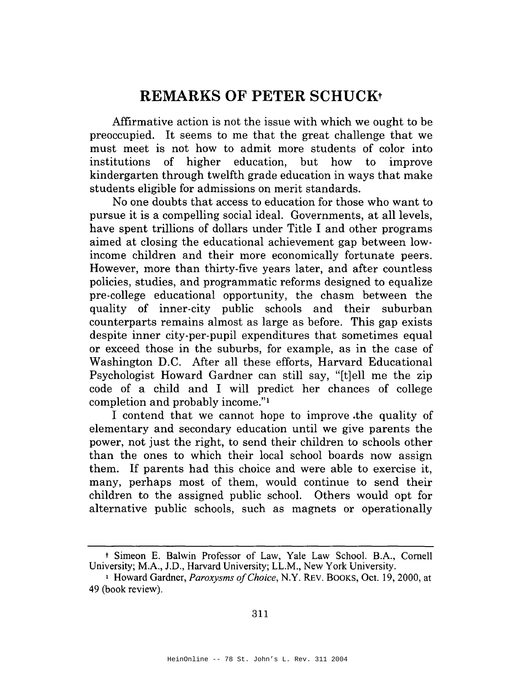## **REMARKS OF PETER SCHUCKt**

Affirmative action is not the issue with which we ought to be preoccupied. It seems to me that the great challenge that we must meet is not how to admit more students of color into institutions of higher education, but how to improve kindergarten through twelfth grade education in ways that make students eligible for admissions on merit standards.

No one doubts that access to education for those who want to pursue it is a compelling social ideal. Governments, at all levels, have spent trillions of dollars under Title I and other programs aimed at closing the educational achievement gap between lowincome children and their more economically fortunate peers. However, more than thirty-five years later, and after countless policies, studies, and programmatic reforms designed to equalize pre-college educational opportunity, the chasm between the quality of inner-city public schools and their suburban counterparts remains almost as large as before. This gap exists despite inner city-per-pupil expenditures that sometimes equal or exceed those in the suburbs, for example, as in the case of Washington D.C. After all these efforts, Harvard Educational Psychologist Howard Gardner can still say, "[t]ell me the zip code of a child and I will predict her chances of college completion and probably income."l

I contend that we cannot hope to improve .the quality of elementary and secondary education until we give parents the power, not just the right, to send their children to schools other than the ones to which their local school boards now assign them. If parents had this choice and were able to exercise it, many, perhaps most of them, would continue to send their children to the assigned public school. Others would opt for alternative public schools, such as magnets or operationally

<sup>t</sup> Simeon E. Balwin Professor of Law, Yale Law School. B.A., Cornell University; M.A., J.D., Harvard University; LL.M., New York University.

<sup>&</sup>lt;sup>1</sup> Howard Gardner, *Paroxysms of Choice*, N.Y. REV. BOOKS, Oct. 19, 2000, at 49 (book review).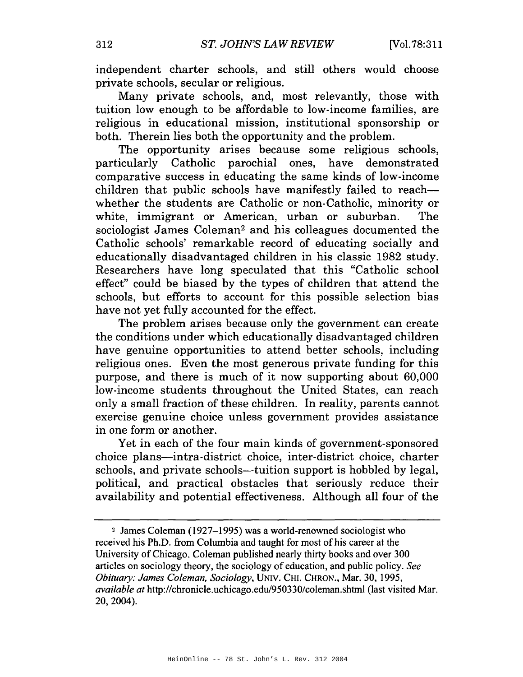independent charter schools, and still others would choose private schools, secular or religious.

Many private schools, and, most relevantly, those with tuition low enough to be affordable to low-income families, are religious in educational mission, institutional sponsorship or both. Therein lies both the opportunity and the problem.

The opportunity arises because some religious schools, particularly Catholic parochial ones, have demonstrated comparative success in educating the same kinds of low-income children that public schools have manifestly failed to reachwhether the students are Catholic or non-Catholic, minority or white, immigrant or American, urban or suburban. The sociologist James Coleman<sup>2</sup> and his colleagues documented the Catholic schools' remarkable record of educating socially and educationally disadvantaged children in his classic 1982 study. Researchers have long speculated that this "Catholic school effect" could be biased by the types of children that attend the schools, but efforts to account for this possible selection bias have not yet fully accounted for the effect.

The problem arises because only the government can create the conditions under which educationally disadvantaged children have genuine opportunities to attend better schools, including religious ones. Even the most generous private funding for this purpose, and there is much of it now supporting about 60,000 low-income students throughout the United States, can reach only a small fraction of these children. In reality, parents cannot exercise genuine choice unless government provides assistance in one form or another.

Yet in each of the four main kinds of government-sponsored choice plans—intra-district choice, inter-district choice, charter schools, and private schools—tuition support is hobbled by legal, political, and practical obstacles that seriously reduce their availability and potential effectiveness. Although all four of the

<sup>&</sup>lt;sup>2</sup> James Coleman (1927–1995) was a world-renowned sociologist who received his Ph.D. from Columbia and taught for most of his career at the University of Chicago. Coleman published nearly thirty books and over 300 articles on sociology theory, the sociology of education, and public policy. See Obituary: James Coleman, Sociology, UNIV. CHI. CHRON., Mar. 30, 1995, available at http://chronicle.uchicago.edu/950330/coleman.shtml (last visited Mar. 20, 2004).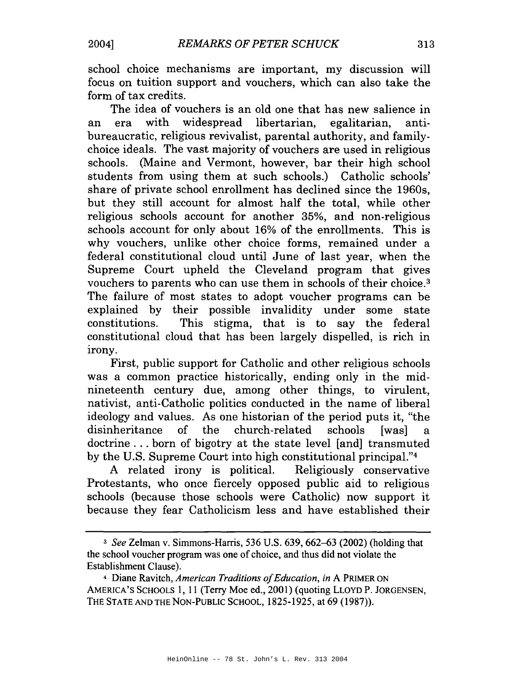school choice mechanisms are important, my discussion will focus on tuition support and vouchers, which can also take the form of tax credits.

The idea of vouchers is an old one that has new salience in era with widespread libertarian, egalitarian, antian bureaucratic, religious revivalist, parental authority, and familychoice ideals. The vast majority of vouchers are used in religious schools. (Maine and Vermont, however, bar their high school students from using them at such schools.) Catholic schools' share of private school enrollment has declined since the 1960s. but they still account for almost half the total, while other religious schools account for another 35%, and non-religious schools account for only about 16% of the enrollments. This is why vouchers, unlike other choice forms, remained under a federal constitutional cloud until June of last year, when the Supreme Court upheld the Cleveland program that gives vouchers to parents who can use them in schools of their choice.<sup>3</sup> The failure of most states to adopt voucher programs can be explained by their possible invalidity under some state constitutions. This stigma, that is to say the federal constitutional cloud that has been largely dispelled, is rich in irony.

First, public support for Catholic and other religious schools was a common practice historically, ending only in the midnineteenth century due, among other things, to virulent, nativist, anti-Catholic politics conducted in the name of liberal ideology and values. As one historian of the period puts it, "the disinheritance of the church-related schools **I** was l  $\mathbf{a}$ doctrine...born of bigotry at the state level [and] transmuted by the U.S. Supreme Court into high constitutional principal."4

A related irony is political. Religiously conservative Protestants, who once fiercely opposed public aid to religious schools (because those schools were Catholic) now support it because they fear Catholicism less and have established their

<sup>&</sup>lt;sup>3</sup> See Zelman v. Simmons-Harris, 536 U.S. 639, 662–63 (2002) (holding that the school voucher program was one of choice, and thus did not violate the Establishment Clause).

<sup>&</sup>lt;sup>4</sup> Diane Ravitch, American Traditions of Education, in A PRIMER ON AMERICA'S SCHOOLS 1, 11 (Terry Moe ed., 2001) (quoting LLOYD P. JORGENSEN, THE STATE AND THE NON-PUBLIC SCHOOL, 1825-1925, at 69 (1987)).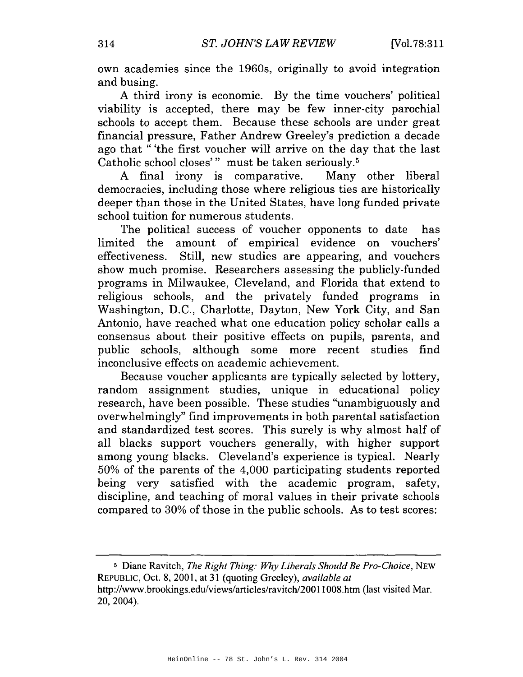own academies since the 1960s, originally to avoid integration and busing.

A third irony is economic. By the time vouchers' political viability is accepted, there may be few inner-city parochial schools to accept them. Because these schools are under great financial pressure, Father Andrew Greeley's prediction a decade ago that "'the first voucher will arrive on the day that the last Catholic school closes'" must be taken seriously.<sup>5</sup>

A final irony is comparative. Many other liberal democracies, including those where religious ties are historically deeper than those in the United States, have long funded private school tuition for numerous students.

The political success of voucher opponents to date has limited the amount of empirical evidence on vouchers' effectiveness. Still, new studies are appearing, and vouchers show much promise. Researchers assessing the publicly-funded programs in Milwaukee, Cleveland, and Florida that extend to religious schools, and the privately funded programs in Washington, D.C., Charlotte, Dayton, New York City, and San Antonio, have reached what one education policy scholar calls a consensus about their positive effects on pupils, parents, and public schools, although some more recent studies find inconclusive effects on academic achievement.

Because voucher applicants are typically selected by lottery, random assignment studies, unique in educational policy research, have been possible. These studies "unambiguously and overwhelmingly" find improvements in both parental satisfaction and standardized test scores. This surely is why almost half of all blacks support vouchers generally, with higher support among young blacks. Cleveland's experience is typical. Nearly 50% of the parents of the 4,000 participating students reported being very satisfied with the academic program, safety, discipline, and teaching of moral values in their private schools compared to 30% of those in the public schools. As to test scores:

<sup>5</sup> Diane Ravitch, The Right Thing: Why Liberals Should Be Pro-Choice, NEW REPUBLIC, Oct. 8, 2001, at 31 (quoting Greeley), available at http://www.brookings.edu/views/articles/ravitch/20011008.htm (last visited Mar. 20, 2004).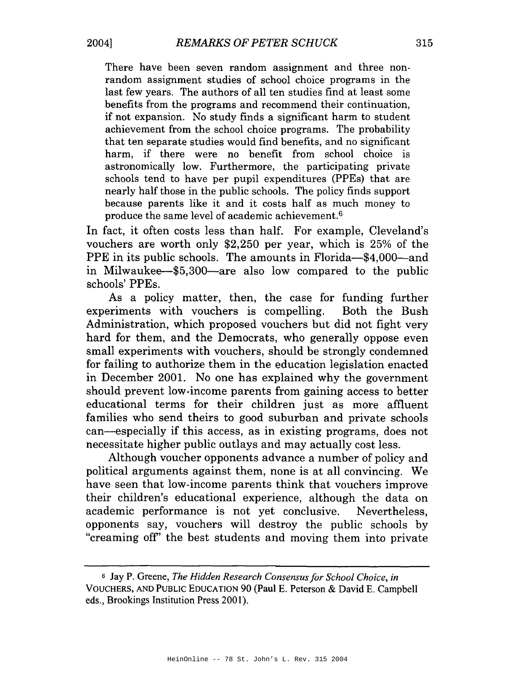There have been seven random assignment and three nonrandom assignment studies of school choice programs in the last few years. The authors of all ten studies find at least some benefits from the programs and recommend their continuation. if not expansion. No study finds a significant harm to student achievement from the school choice programs. The probability that ten separate studies would find benefits, and no significant harm, if there were no benefit from school choice is astronomically low. Furthermore, the participating private schools tend to have per pupil expenditures (PPEs) that are nearly half those in the public schools. The policy finds support because parents like it and it costs half as much money to produce the same level of academic achievement.<sup>6</sup>

In fact, it often costs less than half. For example, Cleveland's vouchers are worth only \$2,250 per year, which is 25% of the PPE in its public schools. The amounts in Florida—\$4,000—and in Milwaukee-\$5,300-are also low compared to the public schools' PPEs.

As a policy matter, then, the case for funding further experiments with vouchers is compelling. Both the Bush Administration, which proposed vouchers but did not fight very hard for them, and the Democrats, who generally oppose even small experiments with vouchers, should be strongly condemned for failing to authorize them in the education legislation enacted in December 2001. No one has explained why the government should prevent low-income parents from gaining access to better educational terms for their children just as more affluent families who send theirs to good suburban and private schools can—especially if this access, as in existing programs, does not necessitate higher public outlays and may actually cost less.

Although voucher opponents advance a number of policy and political arguments against them, none is at all convincing. We have seen that low-income parents think that vouchers improve their children's educational experience, although the data on academic performance is not yet conclusive. Nevertheless. opponents say, vouchers will destroy the public schools by "creaming off" the best students and moving them into private

<sup>&</sup>lt;sup>6</sup> Jay P. Greene, The Hidden Research Consensus for School Choice, in VOUCHERS, AND PUBLIC EDUCATION 90 (Paul E. Peterson & David E. Campbell eds., Brookings Institution Press 2001).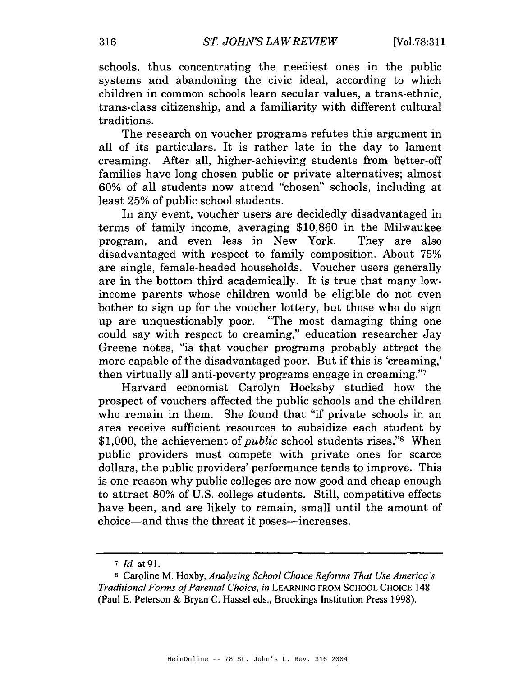schools, thus concentrating the neediest ones in the public systems and abandoning the civic ideal, according to which children in common schools learn secular values, a trans-ethnic. trans-class citizenship, and a familiarity with different cultural traditions.

The research on voucher programs refutes this argument in all of its particulars. It is rather late in the day to lament creaming. After all, higher-achieving students from better-off families have long chosen public or private alternatives; almost 60% of all students now attend "chosen" schools, including at least 25% of public school students.

In any event, voucher users are decidedly disadvantaged in terms of family income, averaging \$10,860 in the Milwaukee program, and even less in New York. They are also disadvantaged with respect to family composition. About 75% are single, female-headed households. Voucher users generally are in the bottom third academically. It is true that many lowincome parents whose children would be eligible do not even bother to sign up for the voucher lottery, but those who do sign up are unquestionably poor. "The most damaging thing one could say with respect to creaming," education researcher Jay Greene notes, "is that voucher programs probably attract the more capable of the disadvantaged poor. But if this is 'creaming,' then virtually all anti-poverty programs engage in creaming."7

Harvard economist Carolyn Hocksby studied how the prospect of vouchers affected the public schools and the children who remain in them. She found that "if private schools in an area receive sufficient resources to subsidize each student by \$1,000, the achievement of *public* school students rises."<sup>8</sup> When public providers must compete with private ones for scarce dollars, the public providers' performance tends to improve. This is one reason why public colleges are now good and cheap enough to attract 80% of U.S. college students. Still, competitive effects have been, and are likely to remain, small until the amount of choice—and thus the threat it poses—increases.

 $7$  *Id.* at 91.

<sup>&</sup>lt;sup>8</sup> Caroline M. Hoxby, Analyzing School Choice Reforms That Use America's Traditional Forms of Parental Choice, in LEARNING FROM SCHOOL CHOICE 148 (Paul E. Peterson & Bryan C. Hassel eds., Brookings Institution Press 1998).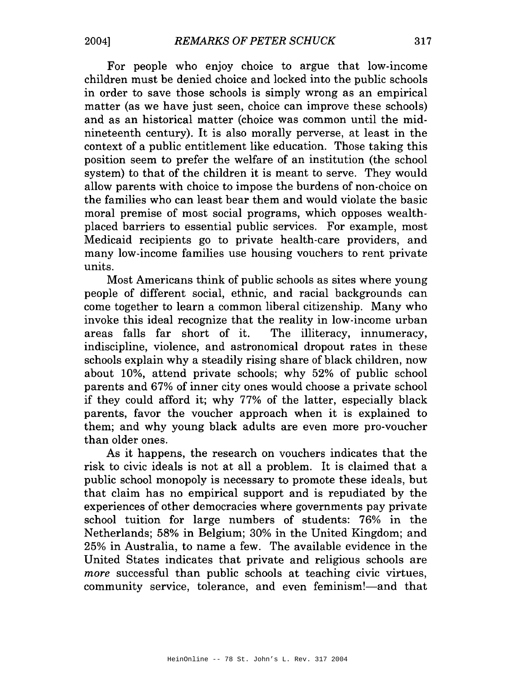For people who enjoy choice to argue that low-income children must be denied choice and locked into the public schools in order to save those schools is simply wrong as an empirical matter (as we have just seen, choice can improve these schools) and as an historical matter (choice was common until the midnineteenth century). It is also morally perverse, at least in the context of a public entitlement like education. Those taking this position seem to prefer the welfare of an institution (the school system) to that of the children it is meant to serve. They would allow parents with choice to impose the burdens of non-choice on the families who can least bear them and would violate the basic moral premise of most social programs, which opposes wealthplaced barriers to essential public services. For example, most Medicaid recipients go to private health-care providers, and many low-income families use housing vouchers to rent private units.

Most Americans think of public schools as sites where young people of different social, ethnic, and racial backgrounds can come together to learn a common liberal citizenship. Many who invoke this ideal recognize that the reality in low-income urban areas falls far short of it. The illiteracy, innumeracy, indiscipline, violence, and astronomical dropout rates in these schools explain why a steadily rising share of black children, now about 10%, attend private schools; why 52% of public school parents and 67% of inner city ones would choose a private school if they could afford it; why 77% of the latter, especially black parents, favor the voucher approach when it is explained to them; and why young black adults are even more pro-voucher than older ones.

As it happens, the research on vouchers indicates that the risk to civic ideals is not at all a problem. It is claimed that a public school monopoly is necessary to promote these ideals, but that claim has no empirical support and is repudiated by the experiences of other democracies where governments pay private school tuition for large numbers of students: 76% in the Netherlands; 58% in Belgium; 30% in the United Kingdom; and 25% in Australia, to name a few. The available evidence in the United States indicates that private and religious schools are more successful than public schools at teaching civic virtues, community service, tolerance, and even feminism!—and that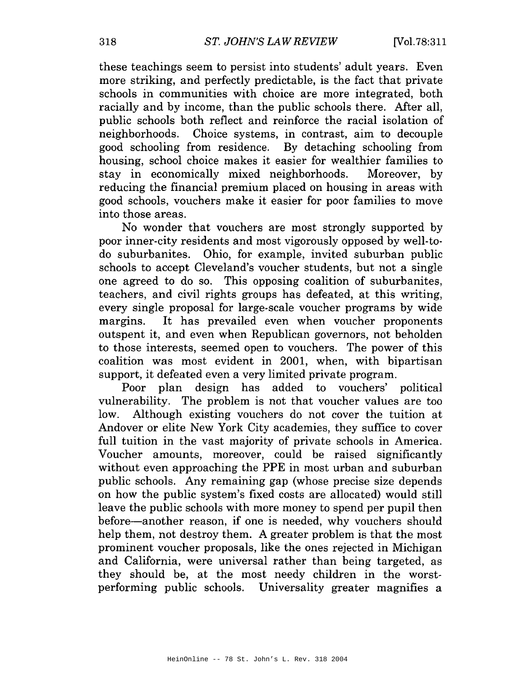these teachings seem to persist into students' adult years. Even more striking, and perfectly predictable, is the fact that private schools in communities with choice are more integrated, both racially and by income, than the public schools there. After all, public schools both reflect and reinforce the racial isolation of neighborhoods. Choice systems, in contrast, aim to decouple good schooling from residence. By detaching schooling from housing, school choice makes it easier for wealthier families to stay in economically mixed neighborhoods. Moreover, by reducing the financial premium placed on housing in areas with good schools, vouchers make it easier for poor families to move into those areas.

No wonder that vouchers are most strongly supported by poor inner-city residents and most vigorously opposed by well-todo suburbanites. Ohio, for example, invited suburban public schools to accept Cleveland's voucher students, but not a single one agreed to do so. This opposing coalition of suburbanites, teachers, and civil rights groups has defeated, at this writing, every single proposal for large-scale voucher programs by wide It has prevailed even when voucher proponents margins. outspent it, and even when Republican governors, not beholden to those interests, seemed open to vouchers. The power of this coalition was most evident in 2001, when, with bipartisan support, it defeated even a very limited private program.

Poor plan design has added to vouchers' political vulnerability. The problem is not that voucher values are too low. Although existing vouchers do not cover the tuition at Andover or elite New York City academies, they suffice to cover full tuition in the vast majority of private schools in America. Voucher amounts, moreover, could be raised significantly without even approaching the PPE in most urban and suburban public schools. Any remaining gap (whose precise size depends on how the public system's fixed costs are allocated) would still leave the public schools with more money to spend per pupil then before-another reason, if one is needed, why vouchers should help them, not destroy them. A greater problem is that the most prominent voucher proposals, like the ones rejected in Michigan and California, were universal rather than being targeted, as they should be, at the most needy children in the worstperforming public schools. Universality greater magnifies a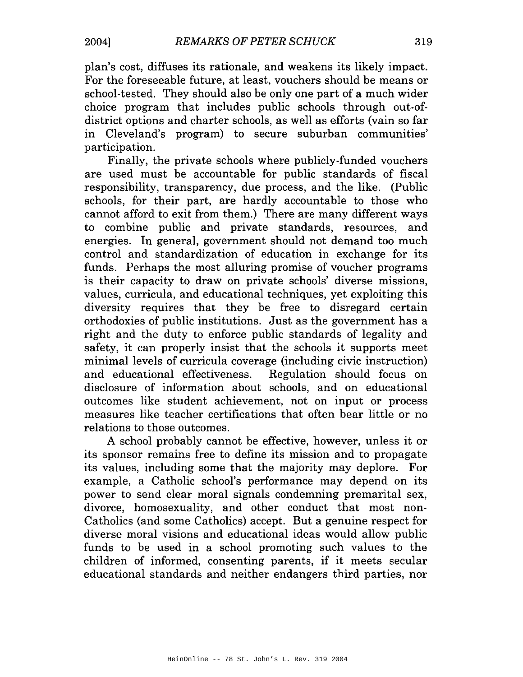plan's cost, diffuses its rationale, and weakens its likely impact. For the foreseeable future, at least, vouchers should be means or school-tested. They should also be only one part of a much wider choice program that includes public schools through out-ofdistrict options and charter schools, as well as efforts (vain so far in Cleveland's program) to secure suburban communities' participation.

Finally, the private schools where publicly-funded vouchers are used must be accountable for public standards of fiscal responsibility, transparency, due process, and the like. (Public schools, for their part, are hardly accountable to those who cannot afford to exit from them.) There are many different ways to combine public and private standards, resources, and energies. In general, government should not demand too much control and standardization of education in exchange for its funds. Perhaps the most alluring promise of voucher programs is their capacity to draw on private schools' diverse missions, values, curricula, and educational techniques, yet exploiting this diversity requires that they be free to disregard certain orthodoxies of public institutions. Just as the government has a right and the duty to enforce public standards of legality and safety, it can properly insist that the schools it supports meet minimal levels of curricula coverage (including civic instruction) and educational effectiveness. Regulation should focus on disclosure of information about schools, and on educational outcomes like student achievement, not on input or process measures like teacher certifications that often bear little or no relations to those outcomes.

A school probably cannot be effective, however, unless it or its sponsor remains free to define its mission and to propagate its values, including some that the majority may deplore. For example, a Catholic school's performance may depend on its power to send clear moral signals condemning premarital sex. divorce, homosexuality, and other conduct that most non-Catholics (and some Catholics) accept. But a genuine respect for diverse moral visions and educational ideas would allow public funds to be used in a school promoting such values to the children of informed, consenting parents, if it meets secular educational standards and neither endangers third parties, nor